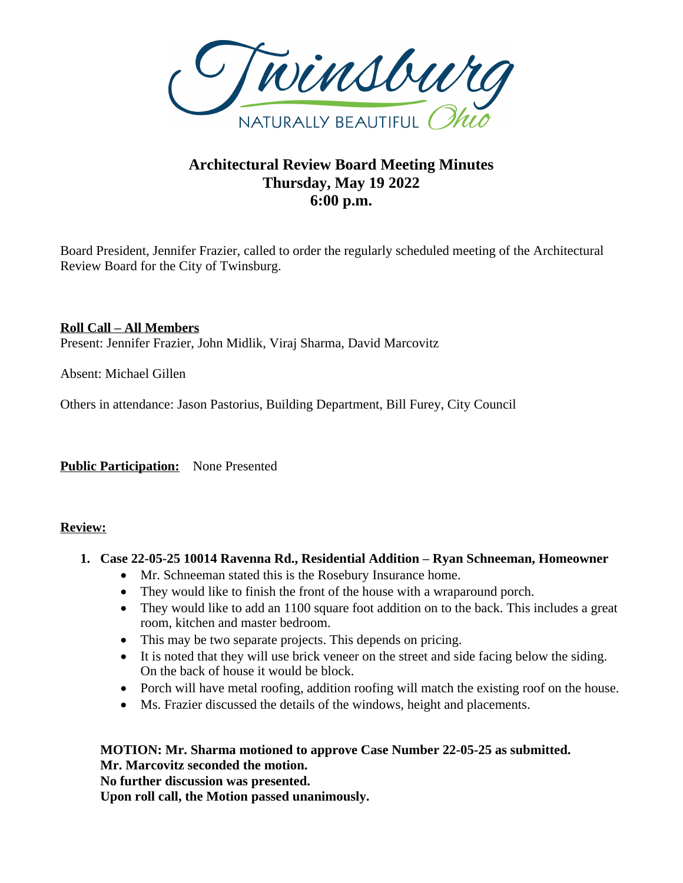

# **Architectural Review Board Meeting Minutes Thursday, May 19 2022 6:00 p.m.**

Board President, Jennifer Frazier, called to order the regularly scheduled meeting of the Architectural Review Board for the City of Twinsburg.

## **Roll Call – All Members**

Present: Jennifer Frazier, John Midlik, Viraj Sharma, David Marcovitz

Absent: Michael Gillen

Others in attendance: Jason Pastorius, Building Department, Bill Furey, City Council

**Public Participation:** None Presented

## **Review:**

## **1. Case 22-05-25 10014 Ravenna Rd., Residential Addition – Ryan Schneeman, Homeowner**

- Mr. Schneeman stated this is the Rosebury Insurance home.
- They would like to finish the front of the house with a wraparound porch.
- They would like to add an 1100 square foot addition on to the back. This includes a great room, kitchen and master bedroom.
- This may be two separate projects. This depends on pricing.
- It is noted that they will use brick veneer on the street and side facing below the siding. On the back of house it would be block.
- Porch will have metal roofing, addition roofing will match the existing roof on the house.
- Ms. Frazier discussed the details of the windows, height and placements.

# **MOTION: Mr. Sharma motioned to approve Case Number 22-05-25 as submitted.**

**Mr. Marcovitz seconded the motion.**

**No further discussion was presented.**

**Upon roll call, the Motion passed unanimously.**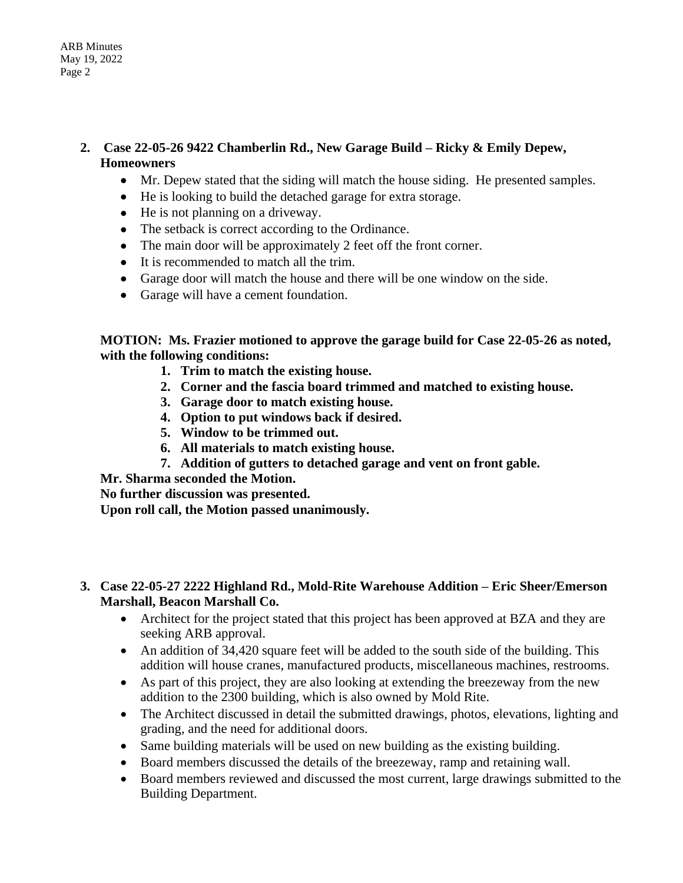- **2. Case 22-05-26 9422 Chamberlin Rd., New Garage Build – Ricky & Emily Depew, Homeowners** 
	- Mr. Depew stated that the siding will match the house siding. He presented samples.
	- He is looking to build the detached garage for extra storage.
	- He is not planning on a driveway.
	- The setback is correct according to the Ordinance.
	- The main door will be approximately 2 feet off the front corner.
	- It is recommended to match all the trim.
	- Garage door will match the house and there will be one window on the side.
	- Garage will have a cement foundation.

**MOTION: Ms. Frazier motioned to approve the garage build for Case 22-05-26 as noted, with the following conditions:**

- **1. Trim to match the existing house.**
- **2. Corner and the fascia board trimmed and matched to existing house.**
- **3. Garage door to match existing house.**
- **4. Option to put windows back if desired.**
- **5. Window to be trimmed out.**
- **6. All materials to match existing house.**
- **7. Addition of gutters to detached garage and vent on front gable.**

**Mr. Sharma seconded the Motion.**

**No further discussion was presented.**

**Upon roll call, the Motion passed unanimously.**

#### **3. Case 22-05-27 2222 Highland Rd., Mold-Rite Warehouse Addition – Eric Sheer/Emerson Marshall, Beacon Marshall Co.**

- Architect for the project stated that this project has been approved at BZA and they are seeking ARB approval.
- An addition of 34,420 square feet will be added to the south side of the building. This addition will house cranes, manufactured products, miscellaneous machines, restrooms.
- As part of this project, they are also looking at extending the breezeway from the new addition to the 2300 building, which is also owned by Mold Rite.
- The Architect discussed in detail the submitted drawings, photos, elevations, lighting and grading, and the need for additional doors.
- Same building materials will be used on new building as the existing building.
- Board members discussed the details of the breezeway, ramp and retaining wall.
- Board members reviewed and discussed the most current, large drawings submitted to the Building Department.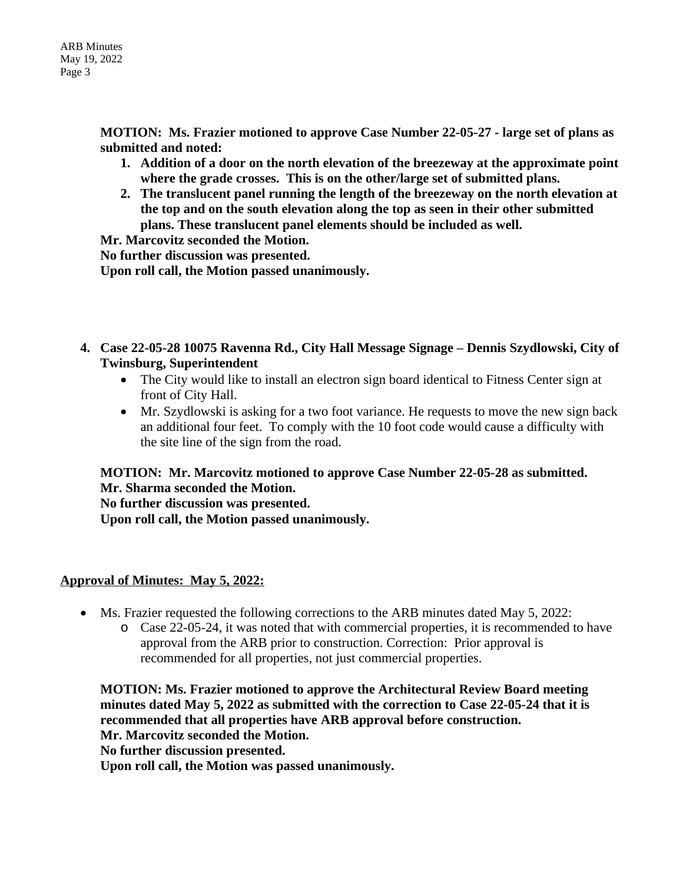**MOTION: Ms. Frazier motioned to approve Case Number 22-05-27 - large set of plans as submitted and noted:** 

- **1. Addition of a door on the north elevation of the breezeway at the approximate point where the grade crosses. This is on the other/large set of submitted plans.**
- **2. The translucent panel running the length of the breezeway on the north elevation at the top and on the south elevation along the top as seen in their other submitted plans. These translucent panel elements should be included as well.**

**Mr. Marcovitz seconded the Motion.**

**No further discussion was presented.**

**Upon roll call, the Motion passed unanimously.**

- **4. Case 22-05-28 10075 Ravenna Rd., City Hall Message Signage – Dennis Szydlowski, City of Twinsburg, Superintendent** 
	- The City would like to install an electron sign board identical to Fitness Center sign at front of City Hall.
	- Mr. Szydlowski is asking for a two foot variance. He requests to move the new sign back an additional four feet. To comply with the 10 foot code would cause a difficulty with the site line of the sign from the road.

**MOTION: Mr. Marcovitz motioned to approve Case Number 22-05-28 as submitted. Mr. Sharma seconded the Motion.**

**No further discussion was presented. Upon roll call, the Motion passed unanimously.**

## **Approval of Minutes: May 5, 2022:**

- Ms. Frazier requested the following corrections to the ARB minutes dated May 5, 2022:
	- o Case 22-05-24, it was noted that with commercial properties, it is recommended to have approval from the ARB prior to construction. Correction: Prior approval is recommended for all properties, not just commercial properties.

**MOTION: Ms. Frazier motioned to approve the Architectural Review Board meeting minutes dated May 5, 2022 as submitted with the correction to Case 22-05-24 that it is recommended that all properties have ARB approval before construction. Mr. Marcovitz seconded the Motion. No further discussion presented.**

**Upon roll call, the Motion was passed unanimously.**